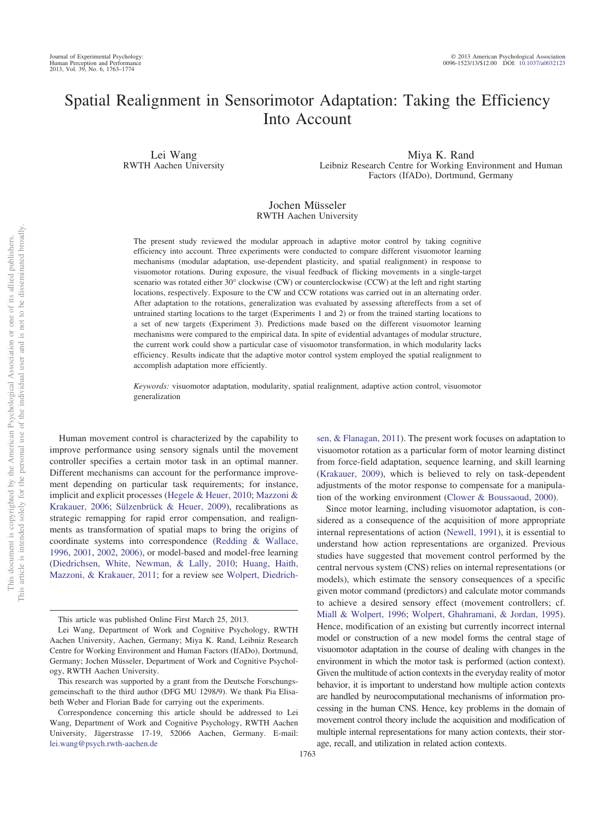# Spatial Realignment in Sensorimotor Adaptation: Taking the Efficiency Into Account

Lei Wang RWTH Aachen University

Miya K. Rand Leibniz Research Centre for Working Environment and Human Factors (IfADo), Dortmund, Germany

# Jochen Müsseler RWTH Aachen University

The present study reviewed the modular approach in adaptive motor control by taking cognitive efficiency into account. Three experiments were conducted to compare different visuomotor learning mechanisms (modular adaptation, use-dependent plasticity, and spatial realignment) in response to visuomotor rotations. During exposure, the visual feedback of flicking movements in a single-target scenario was rotated either 30° clockwise (CW) or counterclockwise (CCW) at the left and right starting locations, respectively. Exposure to the CW and CCW rotations was carried out in an alternating order. After adaptation to the rotations, generalization was evaluated by assessing aftereffects from a set of untrained starting locations to the target (Experiments 1 and 2) or from the trained starting locations to a set of new targets (Experiment 3). Predictions made based on the different visuomotor learning mechanisms were compared to the empirical data. In spite of evidential advantages of modular structure, the current work could show a particular case of visuomotor transformation, in which modularity lacks efficiency. Results indicate that the adaptive motor control system employed the spatial realignment to accomplish adaptation more efficiently.

*Keywords:* visuomotor adaptation, modularity, spatial realignment, adaptive action control, visuomotor generalization

Human movement control is characterized by the capability to improve performance using sensory signals until the movement controller specifies a certain motor task in an optimal manner. Different mechanisms can account for the performance improvement depending on particular task requirements; for instance, implicit and explicit processes [\(Hegele & Heuer, 2010;](#page-10-0) [Mazzoni &](#page-10-1) [Krakauer, 2006;](#page-10-1) [Sülzenbrück & Heuer, 2009\)](#page-10-2), recalibrations as strategic remapping for rapid error compensation, and realignments as transformation of spatial maps to bring the origins of coordinate systems into correspondence [\(Redding & Wallace,](#page-10-3) [1996,](#page-10-3) [2001,](#page-10-4) [2002,](#page-10-5) [2006\),](#page-10-6) or model-based and model-free learning [\(Diedrichsen, White, Newman, & Lally, 2010;](#page-10-7) [Huang, Haith,](#page-10-8) [Mazzoni, & Krakauer, 2011;](#page-10-8) for a review see [Wolpert, Diedrich-](#page-11-0) [sen, & Flanagan, 2011\)](#page-11-0). The present work focuses on adaptation to visuomotor rotation as a particular form of motor learning distinct from force-field adaptation, sequence learning, and skill learning [\(Krakauer, 2009\)](#page-10-9), which is believed to rely on task-dependent adjustments of the motor response to compensate for a manipulation of the working environment [\(Clower & Boussaoud, 2000\)](#page-10-10).

Since motor learning, including visuomotor adaptation, is considered as a consequence of the acquisition of more appropriate internal representations of action [\(Newell, 1991\)](#page-10-11), it is essential to understand how action representations are organized. Previous studies have suggested that movement control performed by the central nervous system (CNS) relies on internal representations (or models), which estimate the sensory consequences of a specific given motor command (predictors) and calculate motor commands to achieve a desired sensory effect (movement controllers; cf. [Miall & Wolpert, 1996;](#page-10-12) [Wolpert, Ghahramani, & Jordan, 1995\)](#page-11-1). Hence, modification of an existing but currently incorrect internal model or construction of a new model forms the central stage of visuomotor adaptation in the course of dealing with changes in the environment in which the motor task is performed (action context). Given the multitude of action contexts in the everyday reality of motor behavior, it is important to understand how multiple action contexts are handled by neurocomputational mechanisms of information processing in the human CNS. Hence, key problems in the domain of movement control theory include the acquisition and modification of multiple internal representations for many action contexts, their storage, recall, and utilization in related action contexts.

This article was published Online First March 25, 2013.

Lei Wang, Department of Work and Cognitive Psychology, RWTH Aachen University, Aachen, Germany; Miya K. Rand, Leibniz Research Centre for Working Environment and Human Factors (IfADo), Dortmund, Germany; Jochen Müsseler, Department of Work and Cognitive Psychology, RWTH Aachen University.

This research was supported by a grant from the Deutsche Forschungsgemeinschaft to the third author (DFG MU 1298/9). We thank Pia Elisabeth Weber and Florian Bade for carrying out the experiments.

Correspondence concerning this article should be addressed to Lei Wang, Department of Work and Cognitive Psychology, RWTH Aachen University, Jägerstrasse 17-19, 52066 Aachen, Germany. E-mail: [lei.wang@psych.rwth-aachen.de](mailto:lei.wang@psych.rwth-aachen.de)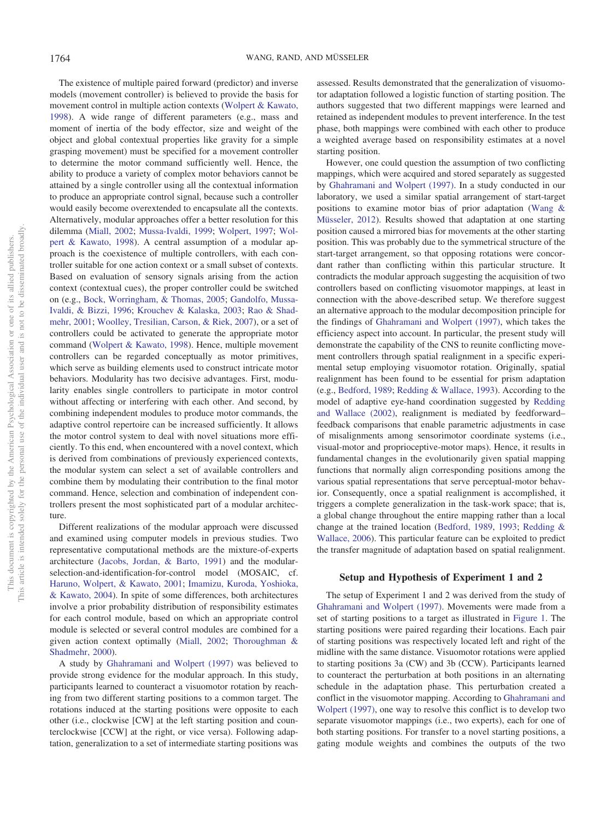The existence of multiple paired forward (predictor) and inverse models (movement controller) is believed to provide the basis for movement control in multiple action contexts [\(Wolpert & Kawato,](#page-11-2) [1998\)](#page-11-2). A wide range of different parameters (e.g., mass and moment of inertia of the body effector, size and weight of the object and global contextual properties like gravity for a simple grasping movement) must be specified for a movement controller to determine the motor command sufficiently well. Hence, the ability to produce a variety of complex motor behaviors cannot be attained by a single controller using all the contextual information to produce an appropriate control signal, because such a controller would easily become overextended to encapsulate all the contexts. Alternatively, modular approaches offer a better resolution for this dilemma [\(Miall, 2002;](#page-10-13) [Mussa-Ivaldi, 1999;](#page-10-14) [Wolpert, 1997;](#page-11-3) [Wol](#page-11-2)[pert & Kawato, 1998\)](#page-11-2). A central assumption of a modular approach is the coexistence of multiple controllers, with each controller suitable for one action context or a small subset of contexts. Based on evaluation of sensory signals arising from the action context (contextual cues), the proper controller could be switched on (e.g., [Bock, Worringham, & Thomas, 2005;](#page-10-15) [Gandolfo, Mussa-](#page-10-16)[Ivaldi, & Bizzi, 1996;](#page-10-16) [Krouchev & Kalaska, 2003;](#page-10-17) [Rao & Shad](#page-10-18)[mehr, 2001;](#page-10-18) [Woolley, Tresilian, Carson, & Riek, 2007\)](#page-11-4), or a set of controllers could be activated to generate the appropriate motor command [\(Wolpert & Kawato, 1998\)](#page-11-2). Hence, multiple movement controllers can be regarded conceptually as motor primitives, which serve as building elements used to construct intricate motor behaviors. Modularity has two decisive advantages. First, modularity enables single controllers to participate in motor control without affecting or interfering with each other. And second, by combining independent modules to produce motor commands, the adaptive control repertoire can be increased sufficiently. It allows the motor control system to deal with novel situations more efficiently. To this end, when encountered with a novel context, which is derived from combinations of previously experienced contexts, the modular system can select a set of available controllers and combine them by modulating their contribution to the final motor command. Hence, selection and combination of independent controllers present the most sophisticated part of a modular architecture.

Different realizations of the modular approach were discussed and examined using computer models in previous studies. Two representative computational methods are the mixture-of-experts architecture [\(Jacobs, Jordan, & Barto, 1991\)](#page-10-19) and the modularselection-and-identification-for-control model (MOSAIC, cf. [Haruno, Wolpert, & Kawato, 2001;](#page-10-20) [Imamizu, Kuroda, Yoshioka,](#page-10-21) [& Kawato, 2004\)](#page-10-21). In spite of some differences, both architectures involve a prior probability distribution of responsibility estimates for each control module, based on which an appropriate control module is selected or several control modules are combined for a given action context optimally [\(Miall, 2002;](#page-10-13) [Thoroughman &](#page-10-22) [Shadmehr, 2000\)](#page-10-22).

A study by [Ghahramani and Wolpert \(1997\)](#page-10-23) was believed to provide strong evidence for the modular approach. In this study, participants learned to counteract a visuomotor rotation by reaching from two different starting positions to a common target. The rotations induced at the starting positions were opposite to each other (i.e., clockwise [CW] at the left starting position and counterclockwise [CCW] at the right, or vice versa). Following adaptation, generalization to a set of intermediate starting positions was assessed. Results demonstrated that the generalization of visuomotor adaptation followed a logistic function of starting position. The authors suggested that two different mappings were learned and retained as independent modules to prevent interference. In the test phase, both mappings were combined with each other to produce a weighted average based on responsibility estimates at a novel starting position.

However, one could question the assumption of two conflicting mappings, which were acquired and stored separately as suggested by [Ghahramani and Wolpert \(1997\).](#page-10-23) In a study conducted in our laboratory, we used a similar spatial arrangement of start-target positions to examine motor bias of prior adaptation [\(Wang &](#page-11-5) [Müsseler, 2012\)](#page-11-5). Results showed that adaptation at one starting position caused a mirrored bias for movements at the other starting position. This was probably due to the symmetrical structure of the start-target arrangement, so that opposing rotations were concordant rather than conflicting within this particular structure. It contradicts the modular approach suggesting the acquisition of two controllers based on conflicting visuomotor mappings, at least in connection with the above-described setup. We therefore suggest an alternative approach to the modular decomposition principle for the findings of [Ghahramani and Wolpert \(1997\),](#page-10-23) which takes the efficiency aspect into account. In particular, the present study will demonstrate the capability of the CNS to reunite conflicting movement controllers through spatial realignment in a specific experimental setup employing visuomotor rotation. Originally, spatial realignment has been found to be essential for prism adaptation (e.g., [Bedford, 1989;](#page-10-24) [Redding & Wallace, 1993\)](#page-10-25). According to the model of adaptive eye-hand coordination suggested by [Redding](#page-10-5) [and Wallace \(2002\),](#page-10-5) realignment is mediated by feedforward– feedback comparisons that enable parametric adjustments in case of misalignments among sensorimotor coordinate systems (i.e., visual-motor and proprioceptive-motor maps). Hence, it results in fundamental changes in the evolutionarily given spatial mapping functions that normally align corresponding positions among the various spatial representations that serve perceptual-motor behavior. Consequently, once a spatial realignment is accomplished, it triggers a complete generalization in the task-work space; that is, a global change throughout the entire mapping rather than a local change at the trained location [\(Bedford, 1989,](#page-10-24) [1993;](#page-10-26) [Redding &](#page-10-6) [Wallace, 2006\)](#page-10-6). This particular feature can be exploited to predict the transfer magnitude of adaptation based on spatial realignment.

### **Setup and Hypothesis of Experiment 1 and 2**

The setup of Experiment 1 and 2 was derived from the study of [Ghahramani and Wolpert \(1997\).](#page-10-23) Movements were made from a set of starting positions to a target as illustrated in [Figure 1.](#page-2-0) The starting positions were paired regarding their locations. Each pair of starting positions was respectively located left and right of the midline with the same distance. Visuomotor rotations were applied to starting positions 3a (CW) and 3b (CCW). Participants learned to counteract the perturbation at both positions in an alternating schedule in the adaptation phase. This perturbation created a conflict in the visuomotor mapping. According to [Ghahramani and](#page-10-23) [Wolpert \(1997\),](#page-10-23) one way to resolve this conflict is to develop two separate visuomotor mappings (i.e., two experts), each for one of both starting positions. For transfer to a novel starting positions, a gating module weights and combines the outputs of the two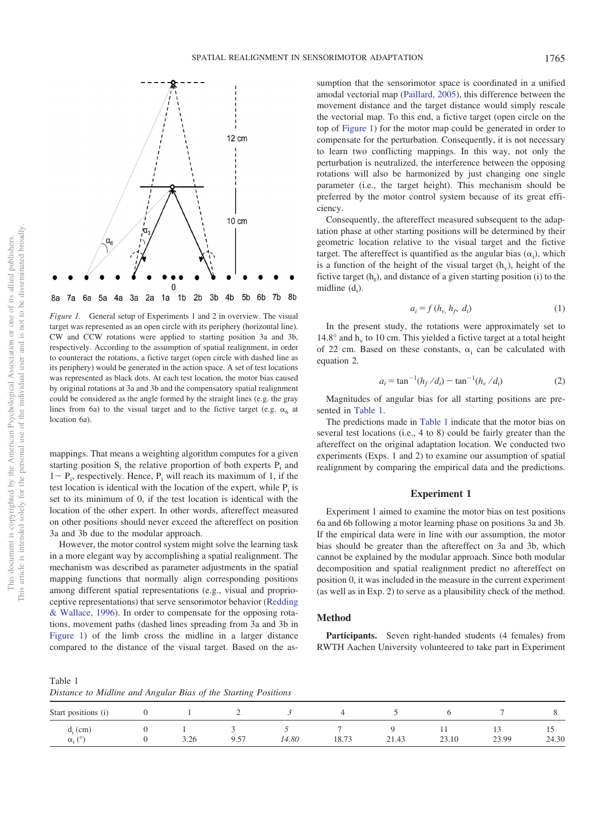



<span id="page-2-0"></span>*Figure 1.* General setup of Experiments 1 and 2 in overview. The visual target was represented as an open circle with its periphery (horizontal line). CW and CCW rotations were applied to starting position 3a and 3b, respectively. According to the assumption of spatial realignment, in order to counteract the rotations, a fictive target (open circle with dashed line as its periphery) would be generated in the action space. A set of test locations was represented as black dots. At each test location, the motor bias caused by original rotations at 3a and 3b and the compensatory spatial realignment could be considered as the angle formed by the straight lines (e.g. the gray lines from 6a) to the visual target and to the fictive target (e.g.  $\alpha_6$  at location 6a).

mappings. That means a weighting algorithm computes for a given starting position  $S_i$ ; the relative proportion of both experts  $P_i$  and  $1 - P_i$ , respectively. Hence,  $P_i$  will reach its maximum of 1, if the test location is identical with the location of the expert, while  $P_i$  is set to its minimum of 0, if the test location is identical with the location of the other expert. In other words, aftereffect measured on other positions should never exceed the aftereffect on position 3a and 3b due to the modular approach.

However, the motor control system might solve the learning task in a more elegant way by accomplishing a spatial realignment. The mechanism was described as parameter adjustments in the spatial mapping functions that normally align corresponding positions among different spatial representations (e.g., visual and proprioceptive representations) that serve sensorimotor behavior [\(Redding](#page-10-3) [& Wallace, 1996\)](#page-10-3). In order to compensate for the opposing rotations, movement paths (dashed lines spreading from 3a and 3b in [Figure 1\)](#page-2-0) of the limb cross the midline in a larger distance compared to the distance of the visual target. Based on the assumption that the sensorimotor space is coordinated in a unified amodal vectorial map [\(Paillard, 2005\)](#page-10-27), this difference between the movement distance and the target distance would simply rescale the vectorial map. To this end, a fictive target (open circle on the top of [Figure 1\)](#page-2-0) for the motor map could be generated in order to compensate for the perturbation. Consequently, it is not necessary to learn two conflicting mappings. In this way, not only the perturbation is neutralized, the interference between the opposing rotations will also be harmonized by just changing one single parameter (i.e., the target height). This mechanism should be preferred by the motor control system because of its great efficiency.

Consequently, the aftereffect measured subsequent to the adaptation phase at other starting positions will be determined by their geometric location relative to the visual target and the fictive target. The aftereffect is quantified as the angular bias  $(\alpha_i)$ , which is a function of the height of the visual target  $(h<sub>v</sub>)$ , height of the fictive target  $(h_f)$ , and distance of a given starting position (i) to the midline  $(d_i)$ .

$$
a_i = f(h_{\nu, h_f}, d_i) \tag{1}
$$

In the present study, the rotations were approximately set to  $14.8^\circ$  and h<sub>y</sub> to 10 cm. This yielded a fictive target at a total height of 22 cm. Based on these constants,  $\alpha_i$  can be calculated with equation 2.

$$
a_i = \tan^{-1}(h_f/d_i) - \tan^{-1}(h_v/d_i)
$$
 (2)

Magnitudes of angular bias for all starting positions are presented in [Table 1.](#page-2-1)

The predictions made in [Table 1](#page-2-1) indicate that the motor bias on several test locations (i.e., 4 to 8) could be fairly greater than the aftereffect on the original adaptation location. We conducted two experiments (Exps. 1 and 2) to examine our assumption of spatial realignment by comparing the empirical data and the predictions.

### **Experiment 1**

Experiment 1 aimed to examine the motor bias on test positions 6a and 6b following a motor learning phase on positions 3a and 3b. If the empirical data were in line with our assumption, the motor bias should be greater than the aftereffect on 3a and 3b, which cannot be explained by the modular approach. Since both modular decomposition and spatial realignment predict no aftereffect on position 0, it was included in the measure in the current experiment (as well as in Exp. 2) to serve as a plausibility check of the method.

# **Method**

Participants. Seven right-handed students (4 females) from RWTH Aachen University volunteered to take part in Experiment

<span id="page-2-1"></span>Table 1

*Distance to Midline and Angular Bias of the Starting Positions*

|                                          | -- | .    | $\sim$ |       |               |                          |       |                         |       |
|------------------------------------------|----|------|--------|-------|---------------|--------------------------|-------|-------------------------|-------|
| Start positions (i)                      |    |      | -      |       | ⊶             |                          |       |                         |       |
| $d_i$ (cm)<br>$\sqrt{2}$<br>$\alpha_i$ ( |    | 3.26 | 9.57   | 14.80 | 1072<br>10.73 | $\mathcal{D}$ 1<br>21.43 | 23.10 | $\overline{1}$<br>23.99 | 24.30 |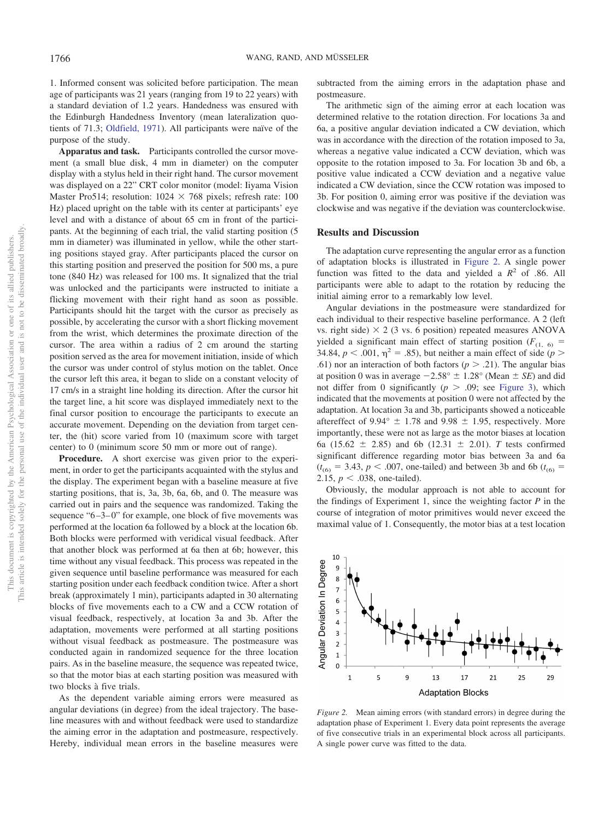1. Informed consent was solicited before participation. The mean age of participants was 21 years (ranging from 19 to 22 years) with a standard deviation of 1.2 years. Handedness was ensured with the Edinburgh Handedness Inventory (mean lateralization quotients of 71.3; [Oldfield, 1971\)](#page-10-28). All participants were naïve of the purpose of the study.

**Apparatus and task.** Participants controlled the cursor movement (a small blue disk, 4 mm in diameter) on the computer display with a stylus held in their right hand. The cursor movement was displayed on a 22" CRT color monitor (model: Iiyama Vision Master Pro514; resolution:  $1024 \times 768$  pixels; refresh rate: 100 Hz) placed upright on the table with its center at participants' eye level and with a distance of about 65 cm in front of the participants. At the beginning of each trial, the valid starting position (5 mm in diameter) was illuminated in yellow, while the other starting positions stayed gray. After participants placed the cursor on this starting position and preserved the position for 500 ms, a pure tone (840 Hz) was released for 100 ms. It signalized that the trial was unlocked and the participants were instructed to initiate a flicking movement with their right hand as soon as possible. Participants should hit the target with the cursor as precisely as possible, by accelerating the cursor with a short flicking movement from the wrist, which determines the proximate direction of the cursor. The area within a radius of 2 cm around the starting position served as the area for movement initiation, inside of which the cursor was under control of stylus motion on the tablet. Once the cursor left this area, it began to slide on a constant velocity of 17 cm/s in a straight line holding its direction. After the cursor hit the target line, a hit score was displayed immediately next to the final cursor position to encourage the participants to execute an accurate movement. Depending on the deviation from target center, the (hit) score varied from 10 (maximum score with target center) to 0 (minimum score 50 mm or more out of range).

**Procedure.** A short exercise was given prior to the experiment, in order to get the participants acquainted with the stylus and the display. The experiment began with a baseline measure at five starting positions, that is, 3a, 3b, 6a, 6b, and 0. The measure was carried out in pairs and the sequence was randomized. Taking the sequence "6–3–0" for example, one block of five movements was performed at the location 6a followed by a block at the location 6b. Both blocks were performed with veridical visual feedback. After that another block was performed at 6a then at 6b; however, this time without any visual feedback. This process was repeated in the given sequence until baseline performance was measured for each starting position under each feedback condition twice. After a short break (approximately 1 min), participants adapted in 30 alternating blocks of five movements each to a CW and a CCW rotation of visual feedback, respectively, at location 3a and 3b. After the adaptation, movements were performed at all starting positions without visual feedback as postmeasure. The postmeasure was conducted again in randomized sequence for the three location pairs. As in the baseline measure, the sequence was repeated twice, so that the motor bias at each starting position was measured with two blocks a` five trials.

As the dependent variable aiming errors were measured as angular deviations (in degree) from the ideal trajectory. The baseline measures with and without feedback were used to standardize the aiming error in the adaptation and postmeasure, respectively. Hereby, individual mean errors in the baseline measures were

subtracted from the aiming errors in the adaptation phase and postmeasure.

The arithmetic sign of the aiming error at each location was determined relative to the rotation direction. For locations 3a and 6a, a positive angular deviation indicated a CW deviation, which was in accordance with the direction of the rotation imposed to 3a, whereas a negative value indicated a CCW deviation, which was opposite to the rotation imposed to 3a. For location 3b and 6b, a positive value indicated a CCW deviation and a negative value indicated a CW deviation, since the CCW rotation was imposed to 3b. For position 0, aiming error was positive if the deviation was clockwise and was negative if the deviation was counterclockwise.

### **Results and Discussion**

The adaptation curve representing the angular error as a function of adaptation blocks is illustrated in [Figure 2.](#page-3-0) A single power function was fitted to the data and yielded a  $R^2$  of .86. All participants were able to adapt to the rotation by reducing the initial aiming error to a remarkably low level.

Angular deviations in the postmeasure were standardized for each individual to their respective baseline performance. A 2 (left vs. right side)  $\times$  2 (3 vs. 6 position) repeated measures ANOVA yielded a significant main effect of starting position  $(F_{(1, 6)})$ 34.84,  $p < .001$ ,  $\eta^2 = .85$ ), but neither a main effect of side ( $p >$ .61) nor an interaction of both factors ( $p > .21$ ). The angular bias at position 0 was in average  $-2.58^{\circ} \pm 1.28^{\circ}$  (Mean  $\pm$  *SE*) and did not differ from 0 significantly  $(p > .09)$ ; see [Figure 3\)](#page-4-0), which indicated that the movements at position 0 were not affected by the adaptation. At location 3a and 3b, participants showed a noticeable aftereffect of 9.94°  $\pm$  1.78 and 9.98  $\pm$  1.95, respectively. More importantly, these were not as large as the motor biases at location 6a (15.62  $\pm$  2.85) and 6b (12.31  $\pm$  2.01). *T* tests confirmed significant difference regarding motor bias between 3a and 6a  $(t_{(6)} = 3.43, p < .007,$  one-tailed) and between 3b and 6b ( $t_{(6)} =$ 2.15,  $p < .038$ , one-tailed).

Obviously, the modular approach is not able to account for the findings of Experiment 1, since the weighting factor *P* in the course of integration of motor primitives would never exceed the maximal value of 1. Consequently, the motor bias at a test location



<span id="page-3-0"></span>*Figure 2.* Mean aiming errors (with standard errors) in degree during the adaptation phase of Experiment 1. Every data point represents the average of five consecutive trials in an experimental block across all participants. A single power curve was fitted to the data.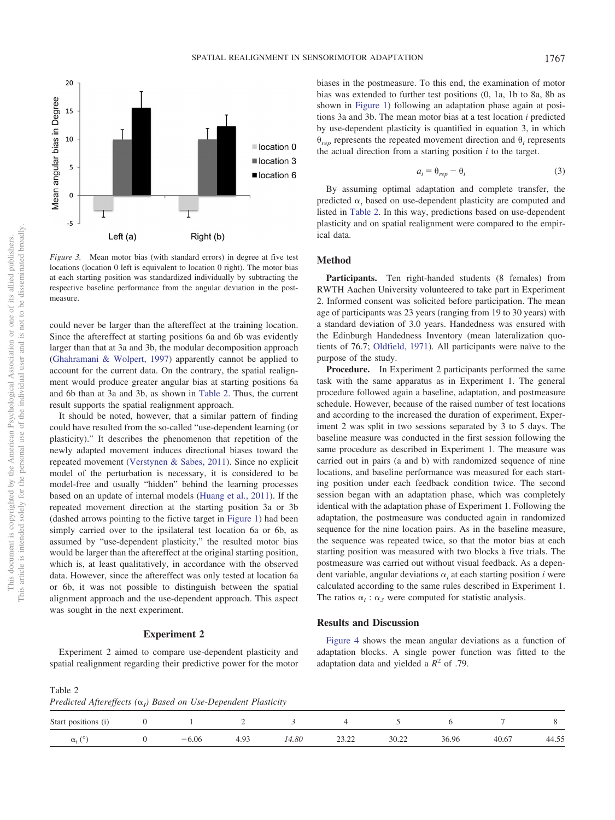

<span id="page-4-0"></span>*Figure 3.* Mean motor bias (with standard errors) in degree at five test locations (location 0 left is equivalent to location 0 right). The motor bias at each starting position was standardized individually by subtracting the respective baseline performance from the angular deviation in the postmeasure.

could never be larger than the aftereffect at the training location. Since the aftereffect at starting positions 6a and 6b was evidently larger than that at 3a and 3b, the modular decomposition approach [\(Ghahramani & Wolpert, 1997\)](#page-10-23) apparently cannot be applied to account for the current data. On the contrary, the spatial realignment would produce greater angular bias at starting positions 6a and 6b than at 3a and 3b, as shown in [Table 2.](#page-4-1) Thus, the current result supports the spatial realignment approach.

It should be noted, however, that a similar pattern of finding could have resulted from the so-called "use-dependent learning (or plasticity)." It describes the phenomenon that repetition of the newly adapted movement induces directional biases toward the repeated movement [\(Verstynen & Sabes, 2011\)](#page-10-29). Since no explicit model of the perturbation is necessary, it is considered to be model-free and usually "hidden" behind the learning processes based on an update of internal models [\(Huang et al., 2011\)](#page-10-8). If the repeated movement direction at the starting position 3a or 3b (dashed arrows pointing to the fictive target in [Figure 1\)](#page-2-0) had been simply carried over to the ipsilateral test location 6a or 6b, as assumed by "use-dependent plasticity," the resulted motor bias would be larger than the aftereffect at the original starting position, which is, at least qualitatively, in accordance with the observed data. However, since the aftereffect was only tested at location 6a or 6b, it was not possible to distinguish between the spatial alignment approach and the use-dependent approach. This aspect was sought in the next experiment.

#### **Experiment 2**

Experiment 2 aimed to compare use-dependent plasticity and spatial realignment regarding their predictive power for the motor biases in the postmeasure. To this end, the examination of motor bias was extended to further test positions (0, 1a, 1b to 8a, 8b as shown in [Figure 1\)](#page-2-0) following an adaptation phase again at positions 3a and 3b. The mean motor bias at a test location *i* predicted by use-dependent plasticity is quantified in equation 3, in which  $\theta_{ren}$  represents the repeated movement direction and  $\theta_i$  represents the actual direction from a starting position *i* to the target.

$$
a_i = \theta_{rep} - \theta_i \tag{3}
$$

By assuming optimal adaptation and complete transfer, the predicted  $\alpha_i$  based on use-dependent plasticity are computed and listed in [Table 2.](#page-4-1) In this way, predictions based on use-dependent plasticity and on spatial realignment were compared to the empirical data.

#### **Method**

Participants. Ten right-handed students (8 females) from RWTH Aachen University volunteered to take part in Experiment 2. Informed consent was solicited before participation. The mean age of participants was 23 years (ranging from 19 to 30 years) with a standard deviation of 3.0 years. Handedness was ensured with the Edinburgh Handedness Inventory (mean lateralization quotients of 76.7; [Oldfield, 1971\)](#page-10-28). All participants were naïve to the purpose of the study.

**Procedure.** In Experiment 2 participants performed the same task with the same apparatus as in Experiment 1. The general procedure followed again a baseline, adaptation, and postmeasure schedule. However, because of the raised number of test locations and according to the increased the duration of experiment, Experiment 2 was split in two sessions separated by 3 to 5 days. The baseline measure was conducted in the first session following the same procedure as described in Experiment 1. The measure was carried out in pairs (a and b) with randomized sequence of nine locations, and baseline performance was measured for each starting position under each feedback condition twice. The second session began with an adaptation phase, which was completely identical with the adaptation phase of Experiment 1. Following the adaptation, the postmeasure was conducted again in randomized sequence for the nine location pairs. As in the baseline measure, the sequence was repeated twice, so that the motor bias at each starting position was measured with two blocks a` five trials. The postmeasure was carried out without visual feedback. As a dependent variable, angular deviations  $\alpha_i$  at each starting position *i* were calculated according to the same rules described in Experiment 1. The ratios  $\alpha_i : \alpha_3$  were computed for statistic analysis.

### **Results and Discussion**

[Figure 4](#page-5-0) shows the mean angular deviations as a function of adaptation blocks. A single power function was fitted to the adaptation data and yielded a  $R^2$  of .79.

<span id="page-4-1"></span>Table 2 *Predicted Aftereffects* (α<sub>*I</sub>*) *Based on Use-Dependent Plasticity*</sub>

|                     | $\cdots$ |         |                |       |                    |       |       |       |       |
|---------------------|----------|---------|----------------|-------|--------------------|-------|-------|-------|-------|
| Start positions (i) |          |         |                |       |                    |       |       |       |       |
| $\alpha$ .          |          | $-6.06$ | $\sim$<br>エ・ノン | 14.80 | $\bigcap$<br>----- | 30.22 | 36.96 | 40.67 | 44.55 |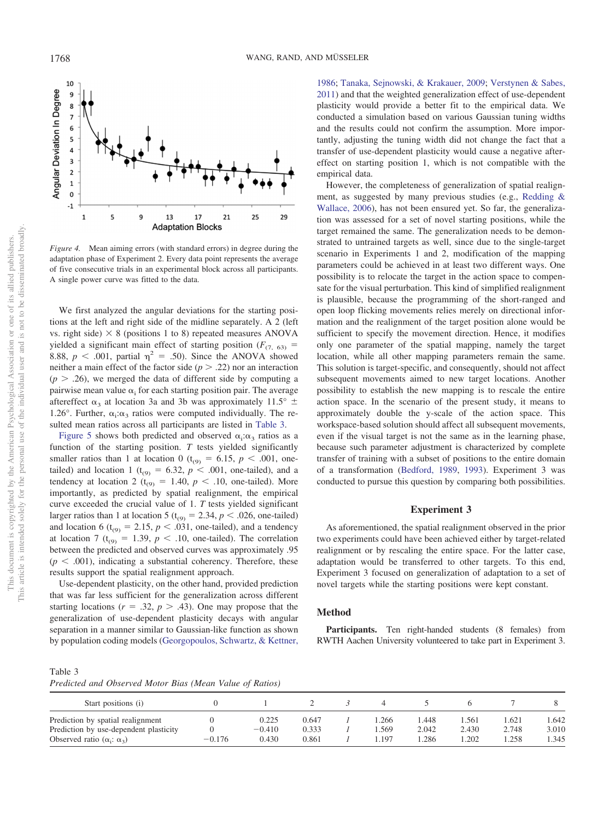

<span id="page-5-0"></span>*Figure 4.* Mean aiming errors (with standard errors) in degree during the adaptation phase of Experiment 2. Every data point represents the average of five consecutive trials in an experimental block across all participants. A single power curve was fitted to the data.

We first analyzed the angular deviations for the starting positions at the left and right side of the midline separately. A 2 (left vs. right side)  $\times$  8 (positions 1 to 8) repeated measures ANOVA yielded a significant main effect of starting position ( $F_{(7, 63)}$  = 8.88,  $p < .001$ , partial  $\eta^2 = .50$ ). Since the ANOVA showed neither a main effect of the factor side  $(p > .22)$  nor an interaction  $(p > .26)$ , we merged the data of different side by computing a pairwise mean value  $\alpha_i$  for each starting position pair. The average aftereffect  $\alpha_3$  at location 3a and 3b was approximately 11.5°  $\pm$ 1.26°. Further,  $\alpha_i : \alpha_3$  ratios were computed individually. The resulted mean ratios across all participants are listed in [Table 3.](#page-5-1)

[Figure 5](#page-6-0) shows both predicted and observed  $\alpha_i:\alpha_3$  ratios as a function of the starting position. *T* tests yielded significantly smaller ratios than 1 at location 0 ( $t_{(9)} = 6.15$ ,  $p < .001$ , onetailed) and location 1 ( $t_{(9)} = 6.32$ ,  $p < .001$ , one-tailed), and a tendency at location 2 ( $t_{(9)} = 1.40$ ,  $p < .10$ , one-tailed). More importantly, as predicted by spatial realignment, the empirical curve exceeded the crucial value of 1. *T* tests yielded significant larger ratios than 1 at location 5 ( $t_{(9)} = 2.34$ ,  $p < .026$ , one-tailed) and location 6 ( $t_{(9)} = 2.15$ ,  $p < .031$ , one-tailed), and a tendency at location 7 ( $t_{(9)} = 1.39$ ,  $p < .10$ , one-tailed). The correlation between the predicted and observed curves was approximately .95  $(p < .001)$ , indicating a substantial coherency. Therefore, these results support the spatial realignment approach.

Use-dependent plasticity, on the other hand, provided prediction that was far less sufficient for the generalization across different starting locations ( $r = .32$ ,  $p > .43$ ). One may propose that the generalization of use-dependent plasticity decays with angular separation in a manner similar to Gaussian-like function as shown by population coding models [\(Georgopoulos, Schwartz, & Kettner,](#page-10-30)

[1986;](#page-10-30) [Tanaka, Sejnowski, & Krakauer, 2009;](#page-10-31) [Verstynen & Sabes,](#page-10-29) [2011\)](#page-10-29) and that the weighted generalization effect of use-dependent plasticity would provide a better fit to the empirical data. We conducted a simulation based on various Gaussian tuning widths and the results could not confirm the assumption. More importantly, adjusting the tuning width did not change the fact that a transfer of use-dependent plasticity would cause a negative aftereffect on starting position 1, which is not compatible with the empirical data.

However, the completeness of generalization of spatial realignment, as suggested by many previous studies (e.g., [Redding &](#page-10-6) [Wallace, 2006\)](#page-10-6), has not been ensured yet. So far, the generalization was assessed for a set of novel starting positions, while the target remained the same. The generalization needs to be demonstrated to untrained targets as well, since due to the single-target scenario in Experiments 1 and 2, modification of the mapping parameters could be achieved in at least two different ways. One possibility is to relocate the target in the action space to compensate for the visual perturbation. This kind of simplified realignment is plausible, because the programming of the short-ranged and open loop flicking movements relies merely on directional information and the realignment of the target position alone would be sufficient to specify the movement direction. Hence, it modifies only one parameter of the spatial mapping, namely the target location, while all other mapping parameters remain the same. This solution is target-specific, and consequently, should not affect subsequent movements aimed to new target locations. Another possibility to establish the new mapping is to rescale the entire action space. In the scenario of the present study, it means to approximately double the y-scale of the action space. This workspace-based solution should affect all subsequent movements, even if the visual target is not the same as in the learning phase, because such parameter adjustment is characterized by complete transfer of training with a subset of positions to the entire domain of a transformation [\(Bedford, 1989,](#page-10-24) [1993\)](#page-10-26). Experiment 3 was conducted to pursue this question by comparing both possibilities.

#### **Experiment 3**

As aforementioned, the spatial realignment observed in the prior two experiments could have been achieved either by target-related realignment or by rescaling the entire space. For the latter case, adaptation would be transferred to other targets. To this end, Experiment 3 focused on generalization of adaptation to a set of novel targets while the starting positions were kept constant.

#### **Method**

Participants. Ten right-handed students (8 females) from RWTH Aachen University volunteered to take part in Experiment 3.

<span id="page-5-1"></span>

| Predicted and Observed Motor Bias (Mean Value of Ratios) |  |  |  |  |  |  |  |
|----------------------------------------------------------|--|--|--|--|--|--|--|
|----------------------------------------------------------|--|--|--|--|--|--|--|

| Start positions (i)                    |          |          |       |      |       |       |       |       |
|----------------------------------------|----------|----------|-------|------|-------|-------|-------|-------|
| Prediction by spatial realignment      |          | 0.225    | 0.647 | .266 | .448  | .561  | .621  | .642  |
| Prediction by use-dependent plasticity |          | $-0.410$ | 0.333 | .569 | 2.042 | 2.430 | 2.748 | 3.010 |
| Observed ratio $(\alpha_i: \alpha_3)$  | $-0.176$ | 0.430    | 0.861 | .197 | .286  | .202  | .258  | 1.345 |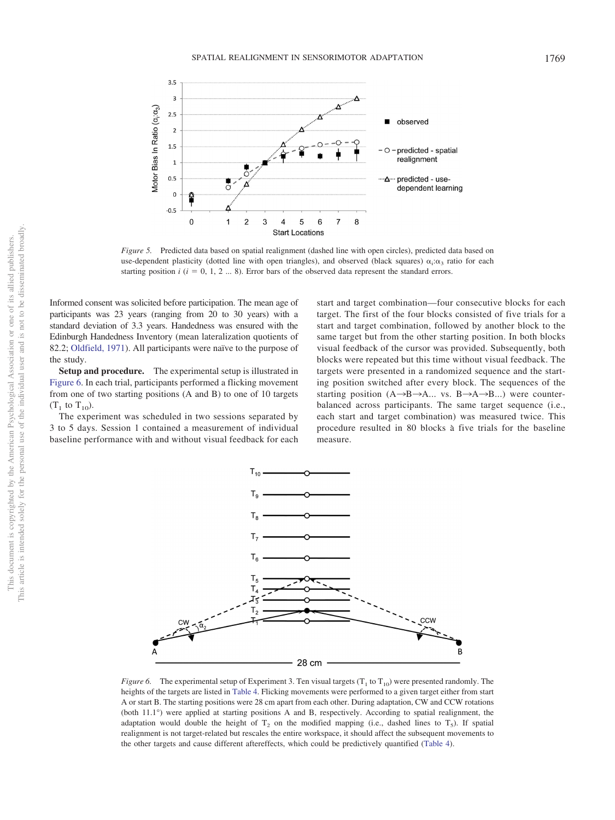

<span id="page-6-0"></span>*Figure 5.* Predicted data based on spatial realignment (dashed line with open circles), predicted data based on use-dependent plasticity (dotted line with open triangles), and observed (black squares)  $\alpha_i:\alpha_3$  ratio for each starting position  $i$  ( $i = 0, 1, 2 ... 8$ ). Error bars of the observed data represent the standard errors.

Informed consent was solicited before participation. The mean age of participants was 23 years (ranging from 20 to 30 years) with a standard deviation of 3.3 years. Handedness was ensured with the Edinburgh Handedness Inventory (mean lateralization quotients of 82.2; [Oldfield, 1971\)](#page-10-28). All participants were naïve to the purpose of the study.

**Setup and procedure.** The experimental setup is illustrated in [Figure 6.](#page-6-1) In each trial, participants performed a flicking movement from one of two starting positions (A and B) to one of 10 targets  $(T_1$  to  $T_{10}$ ).

The experiment was scheduled in two sessions separated by 3 to 5 days. Session 1 contained a measurement of individual baseline performance with and without visual feedback for each

start and target combination—four consecutive blocks for each target. The first of the four blocks consisted of five trials for a start and target combination, followed by another block to the same target but from the other starting position. In both blocks visual feedback of the cursor was provided. Subsequently, both blocks were repeated but this time without visual feedback. The targets were presented in a randomized sequence and the starting position switched after every block. The sequences of the starting position  $(A \rightarrow B \rightarrow A \dots$  vs.  $B \rightarrow A \rightarrow B \dots$ ) were counterbalanced across participants. The same target sequence (i.e., each start and target combination) was measured twice. This procedure resulted in 80 blocks a` five trials for the baseline measure.



<span id="page-6-1"></span>*Figure 6.* The experimental setup of Experiment 3. Ten visual targets ( $T_1$  to  $T_{10}$ ) were presented randomly. The heights of the targets are listed in [Table 4.](#page-7-0) Flicking movements were performed to a given target either from start A or start B. The starting positions were 28 cm apart from each other. During adaptation, CW and CCW rotations (both 11.1°) were applied at starting positions A and B, respectively. According to spatial realignment, the adaptation would double the height of  $T_2$  on the modified mapping (i.e., dashed lines to  $T_5$ ). If spatial realignment is not target-related but rescales the entire workspace, it should affect the subsequent movements to the other targets and cause different aftereffects, which could be predictively quantified [\(Table 4\)](#page-7-0).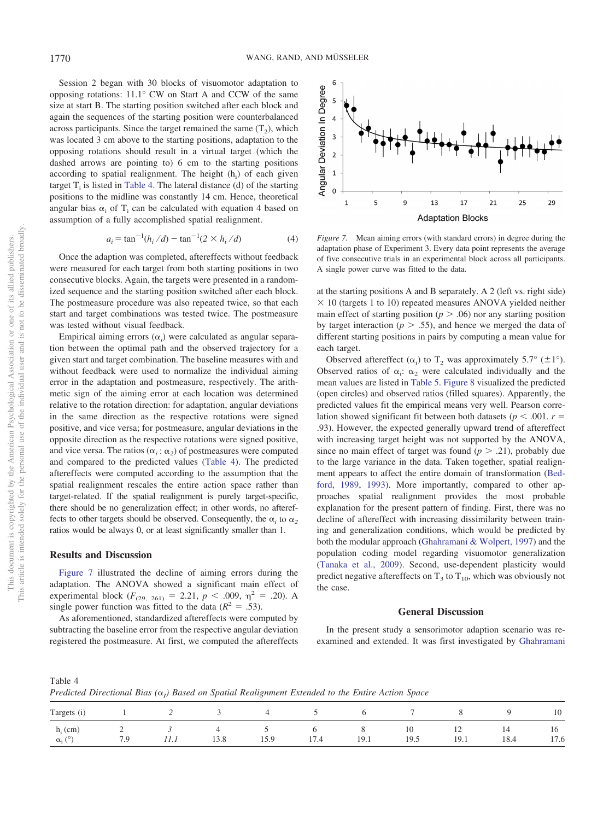Session 2 began with 30 blocks of visuomotor adaptation to opposing rotations: 11.1° CW on Start A and CCW of the same size at start B. The starting position switched after each block and again the sequences of the starting position were counterbalanced across participants. Since the target remained the same  $(T_2)$ , which was located 3 cm above to the starting positions, adaptation to the opposing rotations should result in a virtual target (which the dashed arrows are pointing to) 6 cm to the starting positions according to spatial realignment. The height (h<sub>i</sub>) of each given target  $T_i$  is listed in [Table 4.](#page-7-0) The lateral distance (d) of the starting positions to the midline was constantly 14 cm. Hence, theoretical angular bias  $\alpha_i$  of T<sub>i</sub> can be calculated with equation 4 based on assumption of a fully accomplished spatial realignment.

$$
a_i = \tan^{-1}(h_i/d) - \tan^{-1}(2 \times h_i/d)
$$
 (4)

Once the adaption was completed, aftereffects without feedback were measured for each target from both starting positions in two consecutive blocks. Again, the targets were presented in a randomized sequence and the starting position switched after each block. The postmeasure procedure was also repeated twice, so that each start and target combinations was tested twice. The postmeasure was tested without visual feedback.

Empirical aiming errors  $(\alpha_i)$  were calculated as angular separation between the optimal path and the observed trajectory for a given start and target combination. The baseline measures with and without feedback were used to normalize the individual aiming error in the adaptation and postmeasure, respectively. The arithmetic sign of the aiming error at each location was determined relative to the rotation direction: for adaptation, angular deviations in the same direction as the respective rotations were signed positive, and vice versa; for postmeasure, angular deviations in the opposite direction as the respective rotations were signed positive, and vice versa. The ratios  $(\alpha_i : \alpha_2)$  of postmeasures were computed and compared to the predicted values [\(Table 4\)](#page-7-0). The predicted aftereffects were computed according to the assumption that the spatial realignment rescales the entire action space rather than target-related. If the spatial realignment is purely target-specific, there should be no generalization effect; in other words, no aftereffects to other targets should be observed. Consequently, the  $\alpha_i$  to  $\alpha_2$ ratios would be always 0, or at least significantly smaller than 1.

# **Results and Discussion**

<span id="page-7-0"></span>Table 4

[Figure 7](#page-7-1) illustrated the decline of aiming errors during the adaptation. The ANOVA showed a significant main effect of experimental block ( $F_{(29, 261)} = 2.21$ ,  $p < .009$ ,  $\eta^2 = .20$ ). A single power function was fitted to the data  $(R^2 = .53)$ .

As aforementioned, standardized aftereffects were computed by subtracting the baseline error from the respective angular deviation registered the postmeasure. At first, we computed the aftereffects



<span id="page-7-1"></span>*Figure 7.* Mean aiming errors (with standard errors) in degree during the adaptation phase of Experiment 3. Every data point represents the average of five consecutive trials in an experimental block across all participants. A single power curve was fitted to the data.

at the starting positions A and B separately. A 2 (left vs. right side)  $\times$  10 (targets 1 to 10) repeated measures ANOVA yielded neither main effect of starting position ( $p > .06$ ) nor any starting position by target interaction ( $p > .55$ ), and hence we merged the data of different starting positions in pairs by computing a mean value for each target.

Observed aftereffect  $(\alpha_i)$  to T<sub>2</sub> was approximately 5.7° ( $\pm 1$ °). Observed ratios of  $\alpha_i$ :  $\alpha_2$  were calculated individually and the mean values are listed in [Table 5.](#page-8-0) [Figure 8](#page-8-1) visualized the predicted (open circles) and observed ratios (filled squares). Apparently, the predicted values fit the empirical means very well. Pearson correlation showed significant fit between both datasets ( $p < .001$ .  $r =$ .93). However, the expected generally upward trend of aftereffect with increasing target height was not supported by the ANOVA, since no main effect of target was found  $(p > .21)$ , probably due to the large variance in the data. Taken together, spatial realignment appears to affect the entire domain of transformation [\(Bed](#page-10-24)[ford, 1989,](#page-10-24) [1993\)](#page-10-26). More importantly, compared to other approaches spatial realignment provides the most probable explanation for the present pattern of finding. First, there was no decline of aftereffect with increasing dissimilarity between training and generalization conditions, which would be predicted by both the modular approach [\(Ghahramani & Wolpert, 1997\)](#page-10-23) and the population coding model regarding visuomotor generalization [\(Tanaka et al., 2009\)](#page-10-31). Second, use-dependent plasticity would predict negative aftereffects on  $T_3$  to  $T_{10}$ , which was obviously not the case.

#### **General Discussion**

In the present study a sensorimotor adaption scenario was reexamined and extended. It was first investigated by [Ghahramani](#page-10-23)

Predicted Directional Bias ( $\alpha$ <sub>I</sub>) Based on Spatial Realignment Extended to the Entire Action Space

| Targets (i)                     |                 | ∼                                | ◡         | ∸         | ◡    |           |            |            |            | 10         |
|---------------------------------|-----------------|----------------------------------|-----------|-----------|------|-----------|------------|------------|------------|------------|
| $h_i$ (cm)<br>(0)<br>$\alpha_i$ | <b>_</b><br>7.9 | $\overline{\phantom{a}}$<br>11.1 | 4<br>13.8 | ◡<br>15.9 | 17.4 | O<br>19.1 | 10<br>19.5 | 12<br>19.1 | 14<br>18.4 | 16<br>17.6 |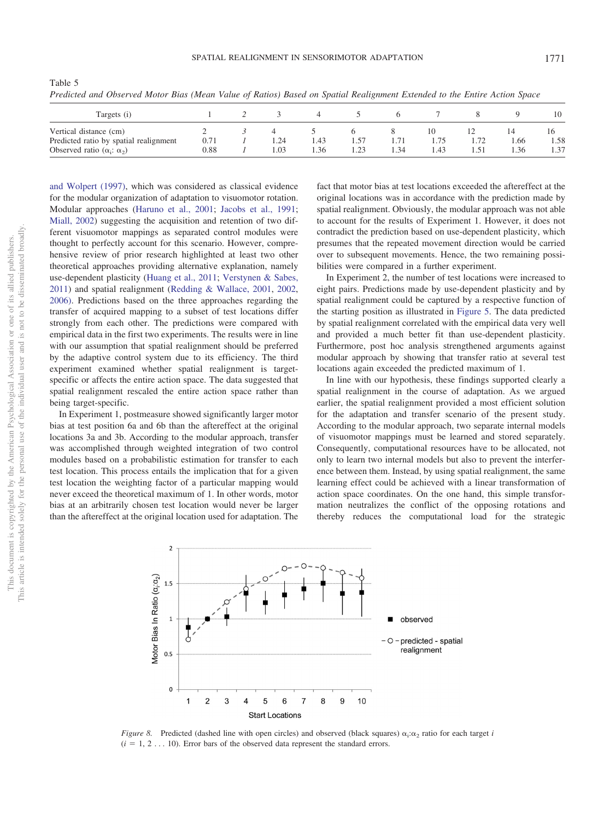|                                        |      |        |      | $\sim$ |      |      |      |      |      |
|----------------------------------------|------|--------|------|--------|------|------|------|------|------|
| Targets (i)                            |      |        |      |        |      |      |      |      | 10   |
| Vertical distance (cm)                 |      |        |      |        |      | 10   |      |      |      |
| Predicted ratio by spatial realignment | 0.71 | . . 24 | 1.43 |        | 1./1 |      | 1.72 | 1.66 | 1.58 |
| Observed ratio $(\alpha_i: \alpha_2)$  | 0.88 | . 03   | . 36 | 1.23   | 1.34 | 1.43 | 1.51 | 1.36 | 1.37 |

<span id="page-8-0"></span>Table 5 *Predicted and Observed Motor Bias (Mean Value of Ratios) Based on Spatial Realignment Extended to the Entire Action Space*

[and Wolpert \(1997\),](#page-10-23) which was considered as classical evidence for the modular organization of adaptation to visuomotor rotation. Modular approaches [\(Haruno et al., 2001;](#page-10-20) [Jacobs et al., 1991;](#page-10-19) [Miall, 2002\)](#page-10-13) suggesting the acquisition and retention of two different visuomotor mappings as separated control modules were thought to perfectly account for this scenario. However, comprehensive review of prior research highlighted at least two other theoretical approaches providing alternative explanation, namely use-dependent plasticity [\(Huang et al., 2011;](#page-10-8) [Verstynen & Sabes,](#page-10-29) [2011\)](#page-10-29) and spatial realignment [\(Redding & Wallace, 2001,](#page-10-4) [2002,](#page-10-5) [2006\).](#page-10-6) Predictions based on the three approaches regarding the transfer of acquired mapping to a subset of test locations differ strongly from each other. The predictions were compared with empirical data in the first two experiments. The results were in line with our assumption that spatial realignment should be preferred by the adaptive control system due to its efficiency. The third experiment examined whether spatial realignment is targetspecific or affects the entire action space. The data suggested that spatial realignment rescaled the entire action space rather than being target-specific.

In Experiment 1, postmeasure showed significantly larger motor bias at test position 6a and 6b than the aftereffect at the original locations 3a and 3b. According to the modular approach, transfer was accomplished through weighted integration of two control modules based on a probabilistic estimation for transfer to each test location. This process entails the implication that for a given test location the weighting factor of a particular mapping would never exceed the theoretical maximum of 1. In other words, motor bias at an arbitrarily chosen test location would never be larger than the aftereffect at the original location used for adaptation. The

fact that motor bias at test locations exceeded the aftereffect at the original locations was in accordance with the prediction made by spatial realignment. Obviously, the modular approach was not able to account for the results of Experiment 1. However, it does not contradict the prediction based on use-dependent plasticity, which presumes that the repeated movement direction would be carried over to subsequent movements. Hence, the two remaining possibilities were compared in a further experiment.

In Experiment 2, the number of test locations were increased to eight pairs. Predictions made by use-dependent plasticity and by spatial realignment could be captured by a respective function of the starting position as illustrated in [Figure 5.](#page-6-0) The data predicted by spatial realignment correlated with the empirical data very well and provided a much better fit than use-dependent plasticity. Furthermore, post hoc analysis strengthened arguments against modular approach by showing that transfer ratio at several test locations again exceeded the predicted maximum of 1.

In line with our hypothesis, these findings supported clearly a spatial realignment in the course of adaptation. As we argued earlier, the spatial realignment provided a most efficient solution for the adaptation and transfer scenario of the present study. According to the modular approach, two separate internal models of visuomotor mappings must be learned and stored separately. Consequently, computational resources have to be allocated, not only to learn two internal models but also to prevent the interference between them. Instead, by using spatial realignment, the same learning effect could be achieved with a linear transformation of action space coordinates. On the one hand, this simple transformation neutralizes the conflict of the opposing rotations and thereby reduces the computational load for the strategic



<span id="page-8-1"></span>*Figure 8.* Predicted (dashed line with open circles) and observed (black squares)  $\alpha_i : \alpha_2$  ratio for each target *i*  $(i = 1, 2, \ldots, 10)$ . Error bars of the observed data represent the standard errors.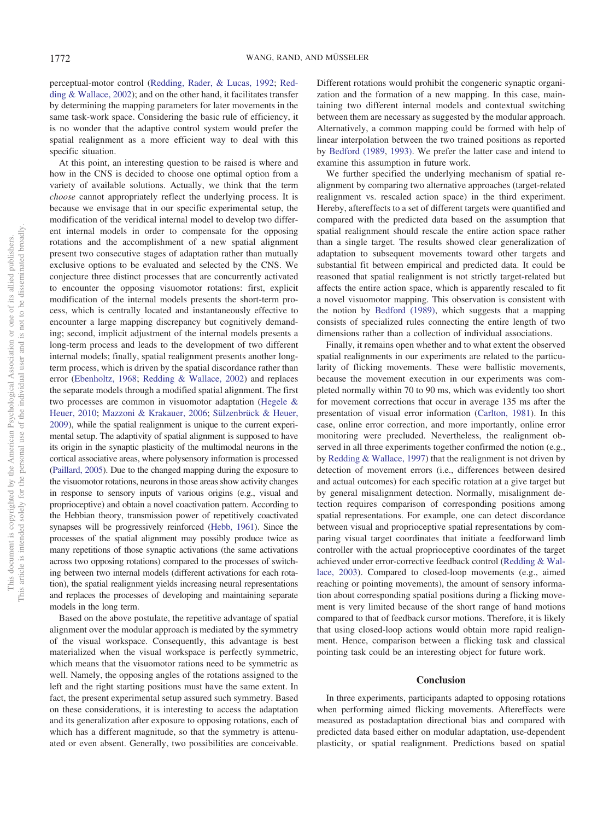perceptual-motor control [\(Redding, Rader, & Lucas, 1992;](#page-10-32) [Red](#page-10-5)[ding & Wallace, 2002\)](#page-10-5); and on the other hand, it facilitates transfer by determining the mapping parameters for later movements in the same task-work space. Considering the basic rule of efficiency, it is no wonder that the adaptive control system would prefer the spatial realignment as a more efficient way to deal with this specific situation.

At this point, an interesting question to be raised is where and how in the CNS is decided to choose one optimal option from a variety of available solutions. Actually, we think that the term *choose* cannot appropriately reflect the underlying process. It is because we envisage that in our specific experimental setup, the modification of the veridical internal model to develop two different internal models in order to compensate for the opposing rotations and the accomplishment of a new spatial alignment present two consecutive stages of adaptation rather than mutually exclusive options to be evaluated and selected by the CNS. We conjecture three distinct processes that are concurrently activated to encounter the opposing visuomotor rotations: first, explicit modification of the internal models presents the short-term process, which is centrally located and instantaneously effective to encounter a large mapping discrepancy but cognitively demanding; second, implicit adjustment of the internal models presents a long-term process and leads to the development of two different internal models; finally, spatial realignment presents another longterm process, which is driven by the spatial discordance rather than error [\(Ebenholtz, 1968;](#page-10-33) [Redding & Wallace, 2002\)](#page-10-5) and replaces the separate models through a modified spatial alignment. The first two processes are common in visuomotor adaptation [\(Hegele &](#page-10-0) [Heuer, 2010;](#page-10-0) [Mazzoni & Krakauer, 2006;](#page-10-1) [Sülzenbrück & Heuer,](#page-10-2) [2009\)](#page-10-2), while the spatial realignment is unique to the current experimental setup. The adaptivity of spatial alignment is supposed to have its origin in the synaptic plasticity of the multimodal neurons in the cortical associative areas, where polysensory information is processed [\(Paillard, 2005\)](#page-10-27). Due to the changed mapping during the exposure to the visuomotor rotations, neurons in those areas show activity changes in response to sensory inputs of various origins (e.g., visual and proprioceptive) and obtain a novel coactivation pattern. According to the Hebbian theory, transmission power of repetitively coactivated synapses will be progressively reinforced [\(Hebb, 1961\)](#page-10-34). Since the processes of the spatial alignment may possibly produce twice as many repetitions of those synaptic activations (the same activations across two opposing rotations) compared to the processes of switching between two internal models (different activations for each rotation), the spatial realignment yields increasing neural representations and replaces the processes of developing and maintaining separate models in the long term.

Based on the above postulate, the repetitive advantage of spatial alignment over the modular approach is mediated by the symmetry of the visual workspace. Consequently, this advantage is best materialized when the visual workspace is perfectly symmetric, which means that the visuomotor rations need to be symmetric as well. Namely, the opposing angles of the rotations assigned to the left and the right starting positions must have the same extent. In fact, the present experimental setup assured such symmetry. Based on these considerations, it is interesting to access the adaptation and its generalization after exposure to opposing rotations, each of which has a different magnitude, so that the symmetry is attenuated or even absent. Generally, two possibilities are conceivable.

Different rotations would prohibit the congeneric synaptic organization and the formation of a new mapping. In this case, maintaining two different internal models and contextual switching between them are necessary as suggested by the modular approach. Alternatively, a common mapping could be formed with help of linear interpolation between the two trained positions as reported by [Bedford \(1989,](#page-10-24) [1993\).](#page-10-26) We prefer the latter case and intend to examine this assumption in future work.

We further specified the underlying mechanism of spatial realignment by comparing two alternative approaches (target-related realignment vs. rescaled action space) in the third experiment. Hereby, aftereffects to a set of different targets were quantified and compared with the predicted data based on the assumption that spatial realignment should rescale the entire action space rather than a single target. The results showed clear generalization of adaptation to subsequent movements toward other targets and substantial fit between empirical and predicted data. It could be reasoned that spatial realignment is not strictly target-related but affects the entire action space, which is apparently rescaled to fit a novel visuomotor mapping. This observation is consistent with the notion by [Bedford \(1989\),](#page-10-24) which suggests that a mapping consists of specialized rules connecting the entire length of two dimensions rather than a collection of individual associations.

Finally, it remains open whether and to what extent the observed spatial realignments in our experiments are related to the particularity of flicking movements. These were ballistic movements, because the movement execution in our experiments was completed normally within 70 to 90 ms, which was evidently too short for movement corrections that occur in average 135 ms after the presentation of visual error information [\(Carlton, 1981\)](#page-10-35). In this case, online error correction, and more importantly, online error monitoring were precluded. Nevertheless, the realignment observed in all three experiments together confirmed the notion (e.g., by [Redding & Wallace, 1997\)](#page-10-36) that the realignment is not driven by detection of movement errors (i.e., differences between desired and actual outcomes) for each specific rotation at a give target but by general misalignment detection. Normally, misalignment detection requires comparison of corresponding positions among spatial representations. For example, one can detect discordance between visual and proprioceptive spatial representations by comparing visual target coordinates that initiate a feedforward limb controller with the actual proprioceptive coordinates of the target achieved under error-corrective feedback control [\(Redding & Wal](#page-10-37)[lace, 2003\)](#page-10-37). Compared to closed-loop movements (e.g., aimed reaching or pointing movements), the amount of sensory information about corresponding spatial positions during a flicking movement is very limited because of the short range of hand motions compared to that of feedback cursor motions. Therefore, it is likely that using closed-loop actions would obtain more rapid realignment. Hence, comparison between a flicking task and classical pointing task could be an interesting object for future work.

#### **Conclusion**

In three experiments, participants adapted to opposing rotations when performing aimed flicking movements. Aftereffects were measured as postadaptation directional bias and compared with predicted data based either on modular adaptation, use-dependent plasticity, or spatial realignment. Predictions based on spatial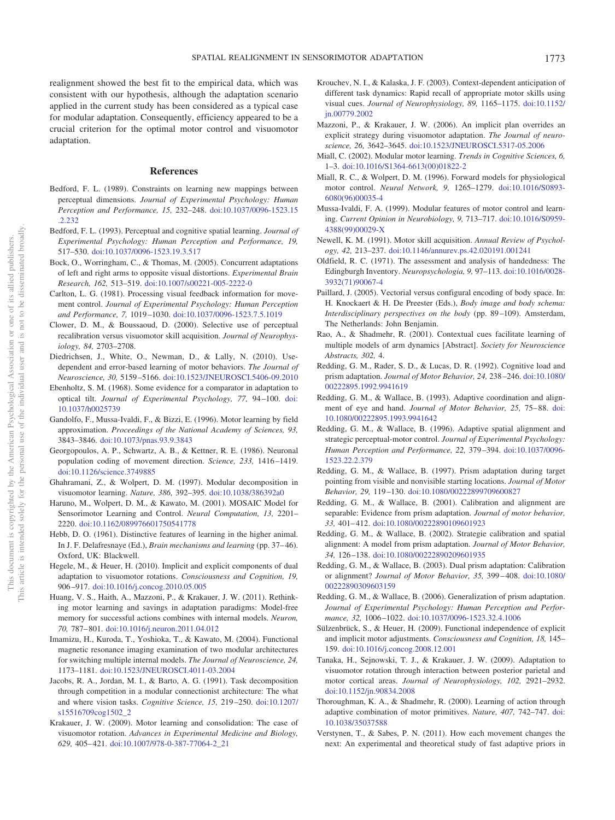realignment showed the best fit to the empirical data, which was consistent with our hypothesis, although the adaptation scenario applied in the current study has been considered as a typical case for modular adaptation. Consequently, efficiency appeared to be a crucial criterion for the optimal motor control and visuomotor adaptation.

#### **References**

- <span id="page-10-24"></span>Bedford, F. L. (1989). Constraints on learning new mappings between perceptual dimensions. *Journal of Experimental Psychology: Human Perception and Performance, 15,* 232–248. [doi:10.1037/0096-1523.15](http://dx.doi.org/10.1037/0096-1523.15.2.232) [.2.232](http://dx.doi.org/10.1037/0096-1523.15.2.232)
- <span id="page-10-26"></span>Bedford, F. L. (1993). Perceptual and cognitive spatial learning. *Journal of Experimental Psychology: Human Perception and Performance, 19,* 517–530. [doi:10.1037/0096-1523.19.3.517](http://dx.doi.org/10.1037/0096-1523.19.3.517)
- <span id="page-10-15"></span>Bock, O., Worringham, C., & Thomas, M. (2005). Concurrent adaptations of left and right arms to opposite visual distortions. *Experimental Brain Research, 162,* 513–519. [doi:10.1007/s00221-005-2222-0](http://dx.doi.org/10.1007/s00221-005-2222-0)
- <span id="page-10-35"></span>Carlton, L. G. (1981). Processing visual feedback information for movement control. *Journal of Experimental Psychology: Human Perception and Performance, 7,* 1019–1030. [doi:10.1037/0096-1523.7.5.1019](http://dx.doi.org/10.1037/0096-1523.7.5.1019)
- <span id="page-10-10"></span>Clower, D. M., & Boussaoud, D. (2000). Selective use of perceptual recalibration versus visuomotor skill acquisition. *Journal of Neurophysiology, 84,* 2703–2708.
- <span id="page-10-7"></span>Diedrichsen, J., White, O., Newman, D., & Lally, N. (2010). Usedependent and error-based learning of motor behaviors. *The Journal of Neuroscience, 30,* 5159–5166. [doi:10.1523/JNEUROSCI.5406-09.2010](http://dx.doi.org/10.1523/JNEUROSCI.5406-09.2010)
- <span id="page-10-33"></span>Ebenholtz, S. M. (1968). Some evidence for a comparator in adaptation to optical tilt. *Journal of Experimental Psychology, 77,* 94–100. [doi:](http://dx.doi.org/10.1037/h0025739) [10.1037/h0025739](http://dx.doi.org/10.1037/h0025739)
- <span id="page-10-16"></span>Gandolfo, F., Mussa-Ivaldi, F., & Bizzi, E. (1996). Motor learning by field approximation. *Proceedings of the National Academy of Sciences, 93,* 3843–3846. [doi:10.1073/pnas.93.9.3843](http://dx.doi.org/10.1073/pnas.93.9.3843)
- <span id="page-10-30"></span>Georgopoulos, A. P., Schwartz, A. B., & Kettner, R. E. (1986). Neuronal population coding of movement direction. *Science, 233,* 1416–1419. [doi:10.1126/science.3749885](http://dx.doi.org/10.1126/science.3749885)
- <span id="page-10-23"></span>Ghahramani, Z., & Wolpert, D. M. (1997). Modular decomposition in visuomotor learning. *Nature, 386,* 392–395. [doi:10.1038/386392a0](http://dx.doi.org/10.1038/386392a0)
- <span id="page-10-20"></span>Haruno, M., Wolpert, D. M., & Kawato, M. (2001). MOSAIC Model for Sensorimotor Learning and Control. *Neural Computation, 13,* 2201– 2220. [doi:10.1162/089976601750541778](http://dx.doi.org/10.1162/089976601750541778)
- <span id="page-10-34"></span>Hebb, D. O. (1961). Distinctive features of learning in the higher animal. In J. F. Delafresnaye (Ed.), *Brain mechanisms and learning* (pp. 37–46). Oxford, UK: Blackwell.
- <span id="page-10-0"></span>Hegele, M., & Heuer, H. (2010). Implicit and explicit components of dual adaptation to visuomotor rotations. *Consciousness and Cognition, 19,* 906–917. [doi:10.1016/j.concog.2010.05.005](http://dx.doi.org/10.1016/j.concog.2010.05.005)
- <span id="page-10-8"></span>Huang, V. S., Haith, A., Mazzoni, P., & Krakauer, J. W. (2011). Rethinking motor learning and savings in adaptation paradigms: Model-free memory for successful actions combines with internal models. *Neuron, 70,* 787–801. [doi:10.1016/j.neuron.2011.04.012](http://dx.doi.org/10.1016/j.neuron.2011.04.012)
- <span id="page-10-21"></span>Imamizu, H., Kuroda, T., Yoshioka, T., & Kawato, M. (2004). Functional magnetic resonance imaging examination of two modular architectures for switching multiple internal models. *The Journal of Neuroscience, 24,* 1173–1181. [doi:10.1523/JNEUROSCI.4011-03.2004](http://dx.doi.org/10.1523/JNEUROSCI.4011-03.2004)
- <span id="page-10-19"></span>Jacobs, R. A., Jordan, M. I., & Barto, A. G. (1991). Task decomposition through competition in a modular connectionist architecture: The what and where vision tasks. *Cognitive Science, 15,* 219–250. [doi:10.1207/](http://dx.doi.org/10.1207/s15516709cog1502_2) [s15516709cog1502\\_2](http://dx.doi.org/10.1207/s15516709cog1502_2)
- <span id="page-10-9"></span>Krakauer, J. W. (2009). Motor learning and consolidation: The case of visuomotor rotation. *Advances in Experimental Medicine and Biology, 629,* 405–421. [doi:10.1007/978-0-387-77064-2\\_21](http://dx.doi.org/10.1007/978-0-387-77064-2_21)
- <span id="page-10-17"></span>Krouchev, N. I., & Kalaska, J. F. (2003). Context-dependent anticipation of different task dynamics: Rapid recall of appropriate motor skills using visual cues. *Journal of Neurophysiology, 89,* 1165–1175. [doi:10.1152/](http://dx.doi.org/10.1152/jn.00779.2002) [jn.00779.2002](http://dx.doi.org/10.1152/jn.00779.2002)
- <span id="page-10-1"></span>Mazzoni, P., & Krakauer, J. W. (2006). An implicit plan overrides an explicit strategy during visuomotor adaptation. *The Journal of neuroscience, 26,* 3642–3645. [doi:10.1523/JNEUROSCI.5317-05.2006](http://dx.doi.org/10.1523/JNEUROSCI.5317-05.2006)
- <span id="page-10-13"></span>Miall, C. (2002). Modular motor learning. *Trends in Cognitive Sciences, 6,* 1–3. [doi:10.1016/S1364-6613\(00\)01822-2](http://dx.doi.org/10.1016/S1364-6613%2800%2901822-2)
- <span id="page-10-12"></span>Miall, R. C., & Wolpert, D. M. (1996). Forward models for physiological motor control. *Neural Network, 9,* 1265–1279. [doi:10.1016/S0893-](http://dx.doi.org/10.1016/S0893-6080%2896%2900035-4) [6080\(96\)00035-4](http://dx.doi.org/10.1016/S0893-6080%2896%2900035-4)
- <span id="page-10-14"></span>Mussa-Ivaldi, F. A. (1999). Modular features of motor control and learning. *Current Opinion in Neurobiology, 9,* 713–717. [doi:10.1016/S0959-](http://dx.doi.org/10.1016/S0959-4388%2899%2900029-X) [4388\(99\)00029-X](http://dx.doi.org/10.1016/S0959-4388%2899%2900029-X)
- <span id="page-10-11"></span>Newell, K. M. (1991). Motor skill acquisition. *Annual Review of Psychology, 42,* 213–237. [doi:10.1146/annurev.ps.42.020191.001241](http://dx.doi.org/10.1146/annurev.ps.42.020191.001241)
- <span id="page-10-28"></span>Oldfield, R. C. (1971). The assessment and analysis of handedness: The Edingburgh Inventory. *Neuropsychologia, 9,* 97–113. [doi:10.1016/0028-](http://dx.doi.org/10.1016/0028-3932%2871%2990067-4) [3932\(71\)90067-4](http://dx.doi.org/10.1016/0028-3932%2871%2990067-4)
- <span id="page-10-27"></span>Paillard, J. (2005). Vectorial versus configural encoding of body space. In: H. Knockaert & H. De Preester (Eds.), *Body image and body schema: Interdisciplinary perspectives on the body* (pp. 89–109). Amsterdam, The Netherlands: John Benjamin.
- <span id="page-10-18"></span>Rao, A., & Shadmehr, R. (2001). Contextual cues facilitate learning of multiple models of arm dynamics [Abstract]. *Society for Neuroscience Abstracts, 302,* 4.
- <span id="page-10-32"></span>Redding, G. M., Rader, S. D., & Lucas, D. R. (1992). Cognitive load and prism adaptation. *Journal of Motor Behavior, 24,* 238–246. [doi:10.1080/](http://dx.doi.org/10.1080/00222895.1992.9941619) [00222895.1992.9941619](http://dx.doi.org/10.1080/00222895.1992.9941619)
- <span id="page-10-25"></span>Redding, G. M., & Wallace, B. (1993). Adaptive coordination and alignment of eye and hand. *Journal of Motor Behavior, 25,* 75–88. [doi:](http://dx.doi.org/10.1080/00222895.1993.9941642) [10.1080/00222895.1993.9941642](http://dx.doi.org/10.1080/00222895.1993.9941642)
- <span id="page-10-3"></span>Redding, G. M., & Wallace, B. (1996). Adaptive spatial alignment and strategic perceptual-motor control. *Journal of Experimental Psychology: Human Perception and Performance, 22,* 379–394. [doi:10.1037/0096-](http://dx.doi.org/10.1037/0096-1523.22.2.379) [1523.22.2.379](http://dx.doi.org/10.1037/0096-1523.22.2.379)
- <span id="page-10-36"></span>Redding, G. M., & Wallace, B. (1997). Prism adaptation during target pointing from visible and nonvisible starting locations. *Journal of Motor Behavior, 29,* 119–130. [doi:10.1080/00222899709600827](http://dx.doi.org/10.1080/00222899709600827)
- <span id="page-10-4"></span>Redding, G. M., & Wallace, B. (2001). Calibration and alignment are separable: Evidence from prism adaptation. *Journal of motor behavior, 33,* 401–412. [doi:10.1080/00222890109601923](http://dx.doi.org/10.1080/00222890109601923)
- <span id="page-10-5"></span>Redding, G. M., & Wallace, B. (2002). Strategie calibration and spatial alignment: A model from prism adaptation. *Journal of Motor Behavior, 34,* 126–138. [doi:10.1080/00222890209601935](http://dx.doi.org/10.1080/00222890209601935)
- <span id="page-10-37"></span>Redding, G. M., & Wallace, B. (2003). Dual prism adaptation: Calibration or alignment? *Journal of Motor Behavior, 35,* 399–408. [doi:10.1080/](http://dx.doi.org/10.1080/00222890309603159) [00222890309603159](http://dx.doi.org/10.1080/00222890309603159)
- <span id="page-10-6"></span>Redding, G. M., & Wallace, B. (2006). Generalization of prism adaptation. *Journal of Experimental Psychology: Human Perception and Performance, 32,* 1006–1022. [doi:10.1037/0096-1523.32.4.1006](http://dx.doi.org/10.1037/0096-1523.32.4.1006)
- <span id="page-10-2"></span>Sülzenbrück, S., & Heuer, H. (2009). Functional independence of explicit and implicit motor adjustments. *Consciousness and Cognition, 18,* 145– 159. [doi:10.1016/j.concog.2008.12.001](http://dx.doi.org/10.1016/j.concog.2008.12.001)
- <span id="page-10-31"></span>Tanaka, H., Sejnowski, T. J., & Krakauer, J. W. (2009). Adaptation to visuomotor rotation through interaction between posterior parietal and motor cortical areas. *Journal of Neurophysiology, 102,* 2921–2932. [doi:10.1152/jn.90834.2008](http://dx.doi.org/10.1152/jn.90834.2008)
- <span id="page-10-22"></span>Thoroughman, K. A., & Shadmehr, R. (2000). Learning of action through adaptive combination of motor primitives. *Nature, 407,* 742–747. [doi:](http://dx.doi.org/10.1038/35037588) [10.1038/35037588](http://dx.doi.org/10.1038/35037588)
- <span id="page-10-29"></span>Verstynen, T., & Sabes, P. N. (2011). How each movement changes the next: An experimental and theoretical study of fast adaptive priors in